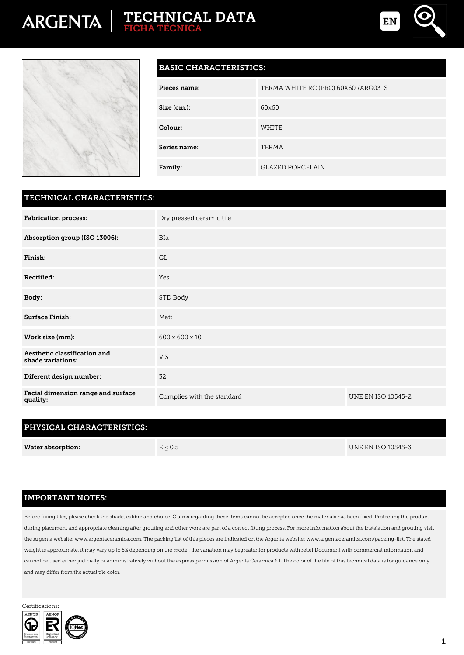# **TECHNICAL DATA FICHA TÉCNICA**





### **BASIC CHARACTERISTICS:**

| Pieces name: | TERMA WHITE RC (PRC) 60X60 /ARG03_S |
|--------------|-------------------------------------|
| Size (cm.):  | 60x60                               |
| Colour:      | <b>WHITE</b>                        |
| Series name: | TERMA                               |
| Family:      | <b>GLAZED PORCELAIN</b>             |

#### **TECHNICAL CHARACTERISTICS:**

| <b>Fabrication process:</b>                       | Dry pressed ceramic tile   |                           |  |
|---------------------------------------------------|----------------------------|---------------------------|--|
| Absorption group (ISO 13006):                     | <b>BIa</b>                 |                           |  |
| Finish:                                           | <b>GL</b>                  |                           |  |
| Rectified:                                        | Yes                        |                           |  |
| Body:                                             | STD Body                   |                           |  |
| <b>Surface Finish:</b>                            | Matt                       |                           |  |
| Work size (mm):                                   | 600 x 600 x 10             |                           |  |
| Aesthetic classification and<br>shade variations: | V.3                        |                           |  |
| Diferent design number:                           | 32                         |                           |  |
| Facial dimension range and surface<br>quality:    | Complies with the standard | <b>UNE EN ISO 10545-2</b> |  |

## **PHYSICAL CHARACTERISTICS:**

| <b>Water absorption:</b> | E < 0.5 | UNE EN ISO 10545-3 |
|--------------------------|---------|--------------------|
|                          |         |                    |

#### **IMPORTANT NOTES:**

Before fixing tiles, please check the shade, calibre and choice. Claims regarding these items cannot be accepted once the materials has been fixed. Protecting the product during placement and appropriate cleaning after grouting and other work are part of a correct fitting process. For more information about the instalation and grouting visit the Argenta website: www.argentaceramica.com. The packing list of this pieces are indicated on the Argenta website: www.argentaceramica.com/packing-list. The stated weight is approximate, it may vary up to 5% depending on the model, the variation may begreater for products with relief.Document with commercial information and cannot be used either judicially or administratively without the express permission of Argenta Ceramica S.L.The color of the tile of this technical data is for guidance only and may differ from the actual tile color.